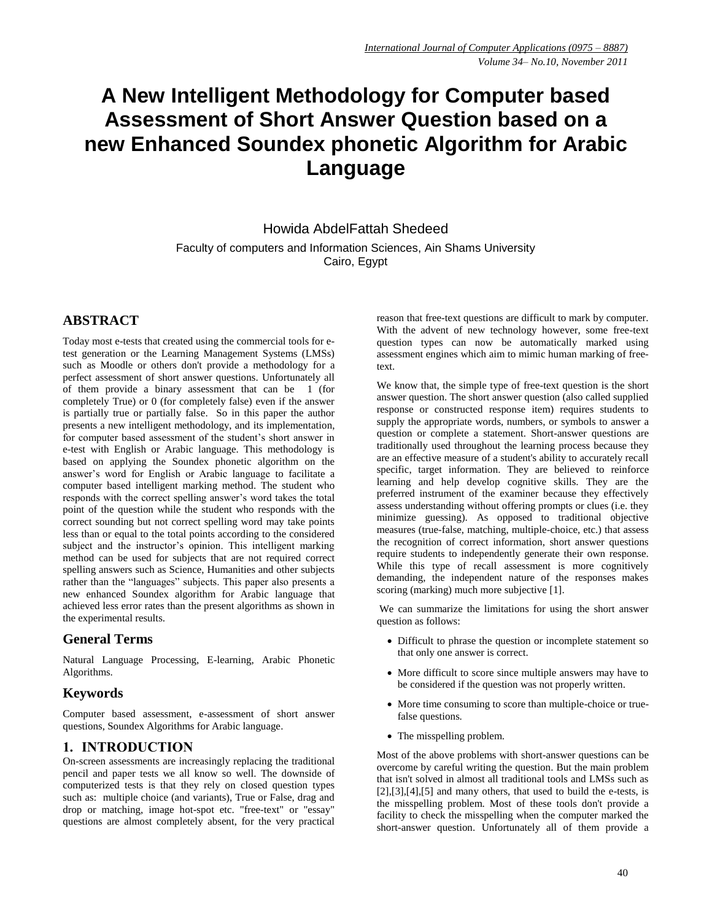# **A New Intelligent Methodology for Computer based Assessment of Short Answer Question based on a new Enhanced Soundex phonetic Algorithm for Arabic Language**

Howida AbdelFattah Shedeed Faculty of computers and Information Sciences, Ain Shams University Cairo, Egypt

# **ABSTRACT**

Today most e-tests that created using the commercial tools for etest generation or the Learning Management Systems (LMSs) such as Moodle or others don't provide a methodology for a perfect assessment of short answer questions. Unfortunately all of them provide a binary assessment that can be 1 (for completely True) or 0 (for completely false) even if the answer is partially true or partially false. So in this paper the author presents a new intelligent methodology, and its implementation, for computer based assessment of the student's short answer in e-test with English or Arabic language. This methodology is based on applying the Soundex phonetic algorithm on the answer's word for English or Arabic language to facilitate a computer based intelligent marking method. The student who responds with the correct spelling answer's word takes the total point of the question while the student who responds with the correct sounding but not correct spelling word may take points less than or equal to the total points according to the considered subject and the instructor's opinion. This intelligent marking method can be used for subjects that are not required correct spelling answers such as Science, Humanities and other subjects rather than the "languages" subjects. This paper also presents a new enhanced Soundex algorithm for Arabic language that achieved less error rates than the present algorithms as shown in the experimental results.

# **General Terms**

Natural Language Processing, E-learning, Arabic Phonetic Algorithms.

#### **Keywords**

Computer based assessment, e-assessment of short answer questions, Soundex Algorithms for Arabic language.

# **1. INTRODUCTION**

On-screen assessments are increasingly replacing the traditional pencil and paper tests we all know so well. The downside of computerized tests is that they rely on closed question types such as: multiple choice (and variants), True or False, drag and drop or matching, image hot-spot etc. "free-text" or "essay" questions are almost completely absent, for the very practical reason that free-text questions are difficult to mark by computer. With the advent of new technology however, some free-text question types can now be automatically marked using assessment engines which aim to mimic human marking of freetext.

We know that, the simple type of free-text question is the short answer question. The short answer question (also called supplied response or constructed response item) requires students to supply the appropriate words, numbers, or symbols to answer a question or complete a statement. Short-answer questions are traditionally used throughout the learning process because they are an effective measure of a student's ability to accurately recall specific, target information. They are believed to reinforce learning and help develop cognitive skills. They are the preferred instrument of the examiner because they effectively assess understanding without offering prompts or clues (i.e. they minimize guessing). As opposed to traditional objective measures (true-false, matching, multiple-choice, etc.) that assess the recognition of correct information, short answer questions require students to independently generate their own response. While this type of recall assessment is more cognitively demanding, the independent nature of the responses makes scoring (marking) much more subjective [1].

We can summarize the limitations for using the short answer question as follows:

- Difficult to phrase the question or incomplete statement so that only one answer is correct.
- More difficult to score since multiple answers may have to be considered if the question was not properly written.
- More time consuming to score than multiple-choice or truefalse questions.
- The misspelling problem.

Most of the above problems with short-answer questions can be overcome by careful writing the question. But the main problem that isn't solved in almost all traditional tools and LMSs such as  $[2]$ , $[3]$ , $[4]$ , $[5]$  and many others, that used to build the e-tests, is the misspelling problem. Most of these tools don't provide a facility to check the misspelling when the computer marked the short-answer question. Unfortunately all of them provide a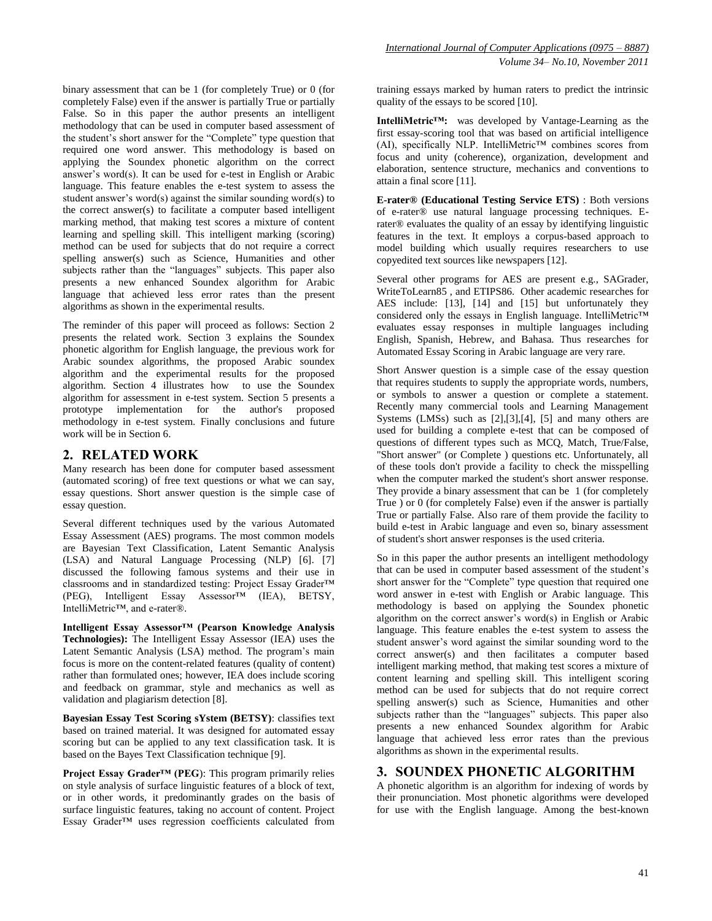binary assessment that can be 1 (for completely True) or 0 (for completely False) even if the answer is partially True or partially False. So in this paper the author presents an intelligent methodology that can be used in computer based assessment of the student's short answer for the "Complete" type question that required one word answer. This methodology is based on applying the Soundex phonetic algorithm on the correct answer's word(s). It can be used for e-test in English or Arabic language. This feature enables the e-test system to assess the student answer's word(s) against the similar sounding word(s) to the correct answer(s) to facilitate a computer based intelligent marking method, that making test scores a mixture of content learning and spelling skill. This intelligent marking (scoring) method can be used for subjects that do not require a correct spelling answer(s) such as Science, Humanities and other subjects rather than the "languages" subjects. This paper also presents a new enhanced Soundex algorithm for Arabic language that achieved less error rates than the present algorithms as shown in the experimental results.

The reminder of this paper will proceed as follows: Section 2 presents the related work. Section 3 explains the Soundex phonetic algorithm for English language, the previous work for Arabic soundex algorithms, the proposed Arabic soundex algorithm and the experimental results for the proposed algorithm. Section 4 illustrates how to use the Soundex algorithm for assessment in e-test system. Section 5 presents a prototype implementation for the author's proposed methodology in e-test system. Finally conclusions and future work will be in Section 6.

#### **2. RELATED WORK**

Many research has been done for computer based assessment (automated scoring) of free text questions or what we can say, essay questions. Short answer question is the simple case of essay question.

Several different techniques used by the various Automated Essay Assessment (AES) programs. The most common models are Bayesian Text Classification, Latent Semantic Analysis (LSA) and Natural Language Processing (NLP) [6]. [7] discussed the following famous systems and their use in classrooms and in standardized testing: Project Essay Grader<sup>™</sup> (PEG), Intelligent Essay Assessor<sup>™</sup> (IEA), BETSY,  $Assessor^TM$  (IEA), BETSY, IntelliMetric™, and e-rater®.

**Intelligent Essay Assessor™ (Pearson Knowledge Analysis Technologies):** The Intelligent Essay Assessor (IEA) uses the Latent Semantic Analysis (LSA) method. The program's main focus is more on the content-related features (quality of content) rather than formulated ones; however, IEA does include scoring and feedback on grammar, style and mechanics as well as validation and plagiarism detection [8].

**Bayesian Essay Test Scoring sYstem (BETSY)**: classifies text based on trained material. It was designed for automated essay scoring but can be applied to any text classification task. It is based on the Bayes Text Classification technique [9].

**Project Essay Grader™ (PEG**): This program primarily relies on style analysis of surface linguistic features of a block of text, or in other words, it predominantly grades on the basis of surface linguistic features, taking no account of content. Project Essay Grader™ uses regression coefficients calculated from training essays marked by human raters to predict the intrinsic quality of the essays to be scored [10].

**IntelliMetric™:** was developed by Vantage-Learning as the first essay-scoring tool that was based on artificial intelligence  $(AI)$ , specifically NLP. IntelliMetric<sup>TM</sup> combines scores from focus and unity (coherence), organization, development and elaboration, sentence structure, mechanics and conventions to attain a final score [11].

**E-rater® (Educational Testing Service ETS)** : Both versions of e-rater® use natural language processing techniques. Erater® evaluates the quality of an essay by identifying linguistic features in the text. It employs a corpus-based approach to model building which usually requires researchers to use copyedited text sources like newspapers [12].

Several other programs for AES are present e.g., SAGrader, WriteToLearn85 , and ETIPS86. Other academic researches for AES include: [13], [14] and [15] but unfortunately they considered only the essays in English language. IntelliMetric™ evaluates essay responses in multiple languages including English, Spanish, Hebrew, and Bahasa. Thus researches for Automated Essay Scoring in Arabic language are very rare.

Short Answer question is a simple case of the essay question that requires students to supply the appropriate words, numbers, or symbols to answer a question or complete a statement. Recently many commercial tools and Learning Management Systems (LMSs) such as [2],[3],[4], [5] and many others are used for building a complete e-test that can be composed of questions of different types such as MCQ, Match, True/False, "Short answer" (or Complete ) questions etc. Unfortunately, all of these tools don't provide a facility to check the misspelling when the computer marked the student's short answer response. They provide a binary assessment that can be 1 (for completely True ) or 0 (for completely False) even if the answer is partially True or partially False. Also rare of them provide the facility to build e-test in Arabic language and even so, binary assessment of student's short answer responses is the used criteria.

So in this paper the author presents an intelligent methodology that can be used in computer based assessment of the student's short answer for the "Complete" type question that required one word answer in e-test with English or Arabic language. This methodology is based on applying the Soundex phonetic algorithm on the correct answer's word(s) in English or Arabic language. This feature enables the e-test system to assess the student answer's word against the similar sounding word to the correct answer(s) and then facilitates a computer based intelligent marking method, that making test scores a mixture of content learning and spelling skill. This intelligent scoring method can be used for subjects that do not require correct spelling answer(s) such as Science, Humanities and other subjects rather than the "languages" subjects. This paper also presents a new enhanced Soundex algorithm for Arabic language that achieved less error rates than the previous algorithms as shown in the experimental results.

#### **3. SOUNDEX PHONETIC ALGORITHM**

A phonetic algorithm is an algorithm for indexing of words by their pronunciation. Most phonetic algorithms were developed for use with the English language. Among the best-known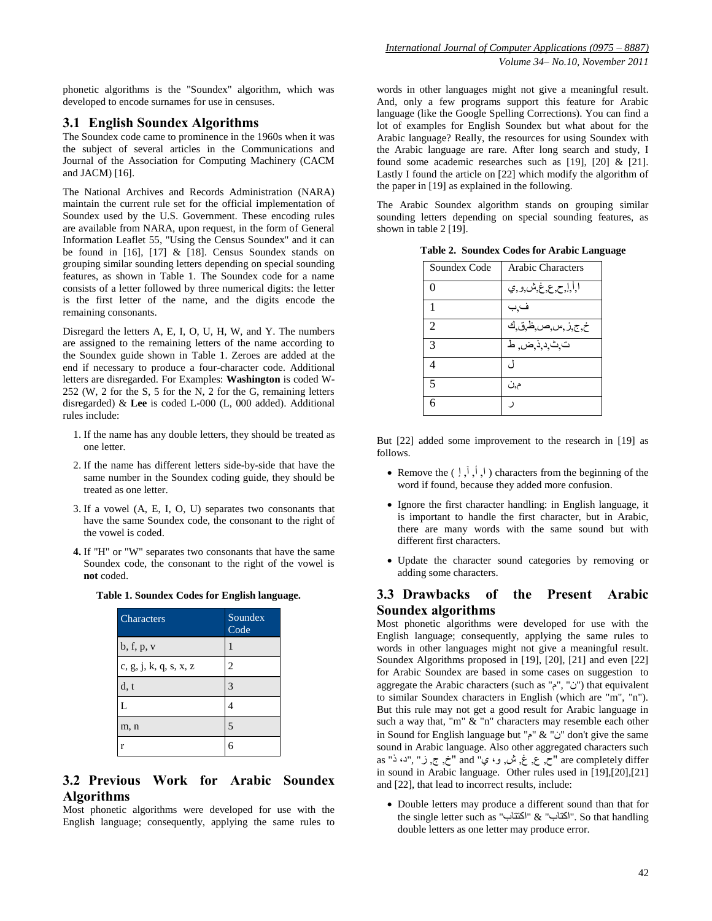phonetic algorithms is the "Soundex" algorithm, which was developed to encode surnames for use in censuses.

#### **3.1 English Soundex Algorithms**

The Soundex code came to prominence in the 1960s when it was the subject of several articles in the Communications and Journal of the Association for Computing Machinery (CACM and JACM) [16].

The National Archives and Records Administration (NARA) maintain the current rule set for the official implementation of Soundex used by the U.S. Government. These encoding rules are available from NARA, upon request, in the form of General Information Leaflet 55, "Using the Census Soundex" and it can be found in [16], [17] & [18]. Census Soundex stands on grouping similar sounding letters depending on special sounding features, as shown in Table 1. The Soundex code for a name consists of a letter followed by three numerical digits: the letter is the first letter of the name, and the digits encode the remaining consonants.

Disregard the letters A, E, I, O, U, H, W, and Y. The numbers are assigned to the remaining letters of the name according to the Soundex guide shown in Table 1. Zeroes are added at the end if necessary to produce a four-character code. Additional letters are disregarded. For Examples: **Washington** is coded W-252 (W, 2 for the S, 5 for the N, 2 for the G, remaining letters disregarded) & **Lee** is coded L-000 (L, 000 added). Additional rules include:

- 1. If the name has any double letters, they should be treated as one letter.
- 2. If the name has different letters side-by-side that have the same number in the Soundex coding guide, they should be treated as one letter.
- 3. If a vowel (A, E, I, O, U) separates two consonants that have the same Soundex code, the consonant to the right of the vowel is coded.
- **4.** If "H" or "W" separates two consonants that have the same Soundex code, the consonant to the right of the vowel is **not** coded.

**Table 1. Soundex Codes for English language.**

| Characters             | Soundex<br>Code |
|------------------------|-----------------|
| b, f, p, v             |                 |
| c, g, j, k, q, s, x, z | 2               |
| d, t                   | 3               |
| L                      |                 |
| m, n                   | $\overline{5}$  |
| r                      | б               |

# **3.2 Previous Work for Arabic Soundex Algorithms**

Most phonetic algorithms were developed for use with the English language; consequently, applying the same rules to words in other languages might not give a meaningful result. And, only a few programs support this feature for Arabic language (like the Google Spelling Corrections). You can find a lot of examples for English Soundex but what about for the Arabic language? Really, the resources for using Soundex with the Arabic language are rare. After long search and study, I found some academic researches such as [19], [20] & [21]. Lastly I found the article on [22] which modify the algorithm of the paper in [19] as explained in the following.

The Arabic Soundex algorithm stands on grouping similar sounding letters depending on special sounding features, as shown in table 2 [19].

| Soundex Code             | <b>Arabic Characters</b> |
|--------------------------|--------------------------|
| 0                        | ا أإح ع غ ش و ي          |
|                          | فبب                      |
| $\mathcal{L}$            | خ,ج,ز,س,ص,ظ,ق,ك          |
| $\mathcal{R}$            | ت ٹ د ذ ض ط              |
| Δ                        | 7)                       |
| $\overline{\mathcal{L}}$ | م,ن                      |
|                          |                          |

**Table 2. Soundex Codes for Arabic Language**

But [22] added some improvement to the research in [19] as follows.

- Remove the  $(\nvert, \nvert, \nvert)$  characters from the beginning of the word if found, because they added more confusion.
- Ignore the first character handling: in English language, it is important to handle the first character, but in Arabic, there are many words with the same sound but with different first characters.
- Update the character sound categories by removing or adding some characters.

## **3.3 Drawbacks of the Present Arabic Soundex algorithms**

Most phonetic algorithms were developed for use with the English language; consequently, applying the same rules to words in other languages might not give a meaningful result. Soundex Algorithms proposed in [19], [20], [21] and even [22] for Arabic Soundex are based in some cases on suggestion to aggregate the Arabic characters (such as "م", "ن", "أن") that equivalent to similar Soundex characters in English (which are "m", "n"). But this rule may not get a good result for Arabic language in such a way that, "m" & "n" characters may resemble each other in Sound for English language but "م" & "ن "don't give the same sound in Arabic language. Also other aggregated characters such differ completely are" ح, ع, غ, ش, و، ي" and" خ, ج, ز" ,"د، ذ" as in sound in Arabic language. Other rules used in [19],[20],[21] and [22], that lead to incorrect results, include:

 Double letters may produce a different sound than that for the single letter such as "اكتتاب" & "اكتاب". So that handling double letters as one letter may produce error.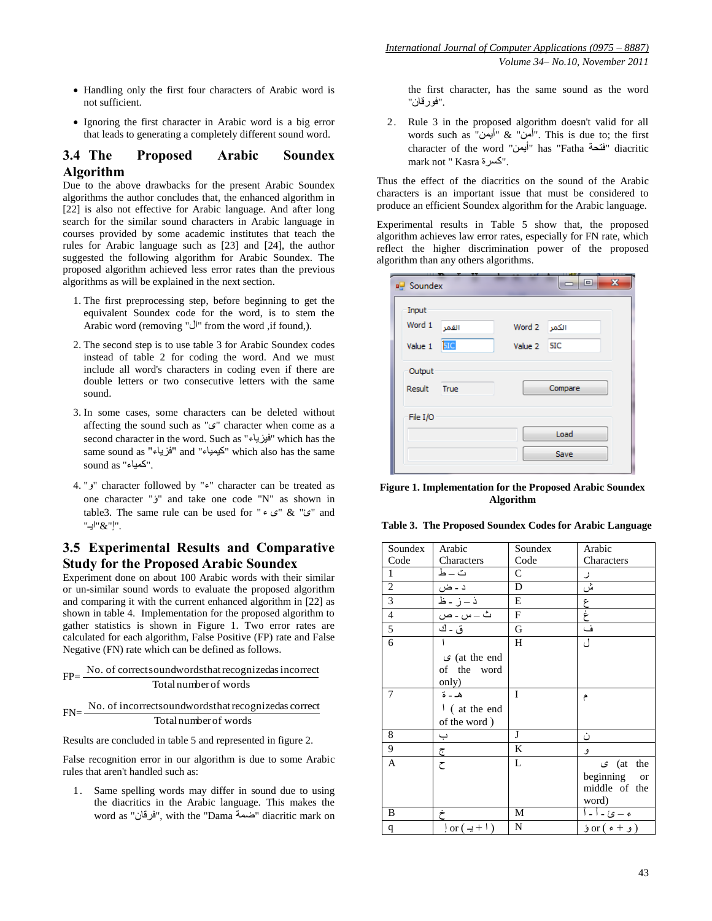- Handling only the first four characters of Arabic word is not sufficient.
- Ignoring the first character in Arabic word is a big error that leads to generating a completely different sound word.

### **3.4 The Proposed Arabic Soundex Algorithm**

Due to the above drawbacks for the present Arabic Soundex algorithms the author concludes that, the enhanced algorithm in [22] is also not effective for Arabic language. And after long search for the similar sound characters in Arabic language in courses provided by some academic institutes that teach the rules for Arabic language such as [23] and [24], the author suggested the following algorithm for Arabic Soundex. The proposed algorithm achieved less error rates than the previous algorithms as will be explained in the next section.

- 1. The first preprocessing step, before beginning to get the equivalent Soundex code for the word, is to stem the Arabic word (removing "ال" from the word ,if found,).
- 2. The second step is to use table 3 for Arabic Soundex codes instead of table 2 for coding the word. And we must include all word's characters in coding even if there are double letters or two consecutive letters with the same sound.
- 3. In some cases, some characters can be deleted without affecting the sound such as "ي "character when come as a second character in the word. Such as "فيسياء "which has the same sound as "فسياء "and "كيمياء "which also has the same sound as "كمياء".
- 4. "و "character followed by "ء "character can be treated as one character "ؤ "and take one code "N" as shown in table3. The same rule can be used for "ي" & "ي" & table3. ."إ"&"ايـ"

## **3.5 Experimental Results and Comparative Study for the Proposed Arabic Soundex**

Experiment done on about 100 Arabic words with their similar or un-similar sound words to evaluate the proposed algorithm and comparing it with the current enhanced algorithm in [22] as shown in table 4. Implementation for the proposed algorithm to gather statistics is shown in Figure 1. Two error rates are calculated for each algorithm, False Positive (FP) rate and False Negative (FN) rate which can be defined as follows.

$$
FP = \frac{No. of correct sound words that recognized as incorrectTotal number of words
$$

$$
FN = \frac{No. of incorrect sound words that recognized as correctTotal number of words
$$

Results are concluded in table 5 and represented in figure 2.

False recognition error in our algorithm is due to some Arabic rules that aren't handled such as:

1. Same spelling words may differ in sound due to using the diacritics in the Arabic language. This makes the word as "فرقان", with the "Dama ضمة "diacritic mark on the first character, has the same sound as the word ."فىرقان"

2. Rule 3 in the proposed algorithm doesn't valid for all words such as "أيمه" & "أمه". This is due to; the first character of the word "أيمن" has "Fatha "فتحة "diacritic mark not " Kasra كسرة".

Thus the effect of the diacritics on the sound of the Arabic characters is an important issue that must be considered to produce an efficient Soundex algorithm for the Arabic language.

Experimental results in Table 5 show that, the proposed algorithm achieves law error rates, especially for FN rate, which reflect the higher discrimination power of the proposed algorithm than any others algorithms.

| □□ Soundex       |            |             | $\mathbf{x}$<br>l o |
|------------------|------------|-------------|---------------------|
| Input<br>Word 1  | القمر      | Word 2      | الكمر               |
| Value 1          | <b>5IC</b> | Value 2 5IC |                     |
| Output<br>Result | True       |             | Compare             |
| File I/O         |            |             |                     |
|                  |            |             | Load                |
|                  |            |             | Save                |

**Figure 1. Implementation for the Proposed Arabic Soundex Algorithm**

| Soundex        | Arabic                               | Soundex      | Arabic               |
|----------------|--------------------------------------|--------------|----------------------|
| Code           | Characters                           | Code         | Characters           |
| 1              | ت ــ ط                               | C            |                      |
| $\overline{c}$ | د ـ ض                                | D            | $\bar{\mathbb{Q}}$ ش |
| $\overline{3}$ | <u>ذ –ز - ظ</u>                      | E            |                      |
| $\overline{4}$ | ت - س - ص                            | $\mathbf{F}$ | ع<br>غ               |
| 5              | ق - ك                                | G            | ف                    |
| 6              |                                      | H            | ل                    |
|                | $\mathcal{G}$ (at the end            |              |                      |
|                | of the word                          |              |                      |
|                | only)                                |              |                      |
| 7              | هـ - ة                               | I            | م                    |
|                | $\frac{1}{2}$ (at the end            |              |                      |
|                | of the word)                         |              |                      |
| 8              | پ                                    | J            | ن                    |
| 9              | <u>ج</u>                             | K            | و                    |
| A              | $\zeta$                              | L            | at) ی<br>the         |
|                |                                      |              | beginning or         |
|                |                                      |              | middle of the        |
|                |                                      |              | word)                |
| B              | خ                                    | М            | <u>ء – ئ - أ - أ</u> |
| q              | $\frac{1}{2}$ or $(\frac{1}{2} + 1)$ | N            | (و + ء) or ؤ         |
|                |                                      |              |                      |
|                |                                      |              |                      |

**Table 3. The Proposed Soundex Codes for Arabic Language**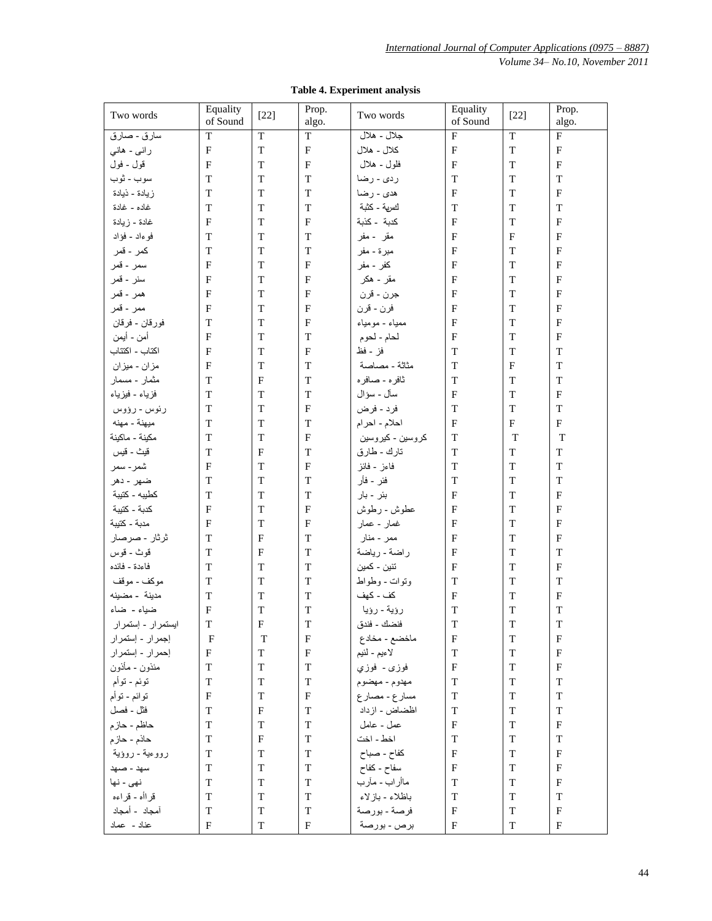|  |  | Table 4. Experiment analysis |  |
|--|--|------------------------------|--|
|--|--|------------------------------|--|

| Two words          | Equality<br>of Sound      | $[22]$                    | Prop.<br>algo.            | Two words        | Equality<br>of Sound      | $[22]$       | Prop.<br>algo. |
|--------------------|---------------------------|---------------------------|---------------------------|------------------|---------------------------|--------------|----------------|
| سارق - صارق        | T                         | T                         | T                         | جلال - هلال      | F                         | T            | F              |
| رانبي - هانبي      | F                         | $\mathbf T$               | $\mathbf{F}$              | كلال - هلال      | $\overline{F}$            | $\mathbf T$  | $\mathbf{F}$   |
| قول - فول          | $\mathbf{F}$              | T                         | $\mathbf{F}$              | فلول - هلال      | $\overline{F}$            | T            | ${\bf F}$      |
| سوب - ثوب          | T                         | T                         | T                         | ردي - رضا        | $\mathbf T$               | T            | T              |
| زيادة - ذيادة      | T                         | T                         | T                         | هدي - رضا        | $\mathbf{F}$              | T            | F              |
| غاده - غادة        | T                         | T                         | T                         | لـُـسِهَ - كثبة  | $\mathbf T$               | T            | T              |
| غادة - زيادة       | $\mathbf{F}$              | T                         | $\mathbf F$               | كدبة - كذبة      | $\mathbf{F}$              | T            | ${\bf F}$      |
| فو ءاد - فؤاد      | T                         | T                         | T                         | مقر - مفر        | $\mathbf{F}$              | $\mathbf{F}$ | $\rm F$        |
| كمر - قمر          | T                         | T                         | T                         | مبرة - مفر       | $\mathbf{F}$              | T            | $\mathbf{F}$   |
| سمر - قمر          | F                         | T                         | $\boldsymbol{\mathrm{F}}$ | كفر - مفر        | $\mathbf{F}$              | T            | $\mathbf{F}$   |
| سنر - قمر          | $\mathbf{F}$              | T                         | $\mathbf{F}$              | مقر - هكر        | $\mathbf{F}$              | T            | $\mathbf F$    |
| همر - قمر          | F                         | T                         | $\mathbf{F}$              | جرن - قرن        | $\mathbf{F}$              | T            | $\mathbf F$    |
| ممر - قمر          | F                         | T                         | $\mathbf{F}$              | فرن - قرن        | $\mathbf{F}$              | T            | $\mathbf{F}$   |
| فور قان - فرقان    | T                         | T                         | $\boldsymbol{\mathrm{F}}$ | ممياء - مومياء   | $\mathbf{F}$              | T            | $\mathbf{F}$   |
| أمن - أيمن         | F                         | T                         | T                         | لحام - لحوم      | $\mathbf F$               | T            | $\mathbf{F}$   |
| اكتاب - اكتتاب     | F                         | $\mathbf T$               | $\mathbf F$               | فز - فظ          | $\mathbf T$               | T            | $\mathbf T$    |
| مزان - ميزان       | F                         | T                         | T                         | مثاثة - مصاصة    | $\mathbf T$               | $\mathbf{F}$ | $\mathbf T$    |
| مثمار - مسمار      | T                         | F                         | T                         | ثافره - صافره    | $\mathbf T$               | T            | $\mathbf T$    |
|                    | T                         | T                         | T                         | سآل - سؤال       | $\mathbf F$               | T            | ${\bf F}$      |
| فزياء - فيزياء     | T                         | T                         | $\mathbf{F}$              |                  | $\mathbf T$               | T            | T              |
| رئوس - رؤوس        |                           |                           |                           | فرد - فرض        |                           |              |                |
| ميهنة - مهنه       | T                         | T                         | T                         | احلام - احرام    | $\mathbf{F}$              | $\mathbf{F}$ | ${\bf F}$      |
| مكينة - ماكينة     | T                         | T                         | $\mathbf{F}$              | كروسين - كيروسين | $\mathbf T$               | T            | T              |
| قيث - قيس          | T                         | $\mathbf{F}$              | $\mathbf T$               | تارك - طارق      | $\mathbf T$               | T            | $\mathbf T$    |
| شمر - سمر          | $\mathbf{F}$              | T                         | $\mathbf F$               | فاءز - فائز      | $\mathbf T$               | $\mathbf T$  | $\mathbf T$    |
| ضهر - دهر          | T                         | T                         | T                         | فئر - فأر        | $\mathbf T$               | T            | $\mathbf T$    |
| كطيبه - كتيبة      | T                         | T                         | T                         | بئر - بار        | $\overline{F}$            | T            | ${\bf F}$      |
| كدبة - كتيبة       | $\mathbf{F}$              | T                         | $\mathbf F$               | عطوش - رطوش      | $\mathbf{F}$              | T            | $\mathbf{F}$   |
| مدبة - كتيبة       | F                         | T                         | $\mathbf{F}$              | غمار - عمار      | $\mathbf F$               | T            | $\mathbf{F}$   |
| ثرثار - صرصار      | T                         | $\mathbf{F}$              | T                         | ممر - منار       | $\mathbf F$               | T            | $\mathbf{F}$   |
| قوث - قوس          | T                         | F                         | T                         | راضة - رياضة     | $\mathbf{F}$              | T            | T              |
| فاءدة - فائده      | T                         | T                         | T                         | نتين - كمين      | $\mathbf{F}$              | T            | $\mathbf{F}$   |
| موكف - موقف        | T                         | T                         | T                         | ونوات - وطواط    | $\mathbf T$               | T            | $\mathbf T$    |
| مدينة - مضينه      | T                         | T                         | T                         | كف - كهف         | $\overline{F}$            | T            | ${\bf F}$      |
| ضياء - ضاء         | $\mathbf{F}$              | $\mathbf T$               | T                         | رؤية - رؤيا      | $\mathbf T$               | $\mathbf T$  | $\mathbf T$    |
| ایستمرار - إستمرار | $\mathbf T$               | $\boldsymbol{\mathrm{F}}$ | $\mathbf T$               | فنضك - فندق      | $\mathbf T$               | $\mathbf T$  | $\mathbf T$    |
| إجمرار - إستمرار   | F                         | T                         | $\mathbf{F}$              | ماخضع - مخادع    | $\mathbf F$               | T            | $\mathbf{F}$   |
| إحمرار - إستمرار   | $\boldsymbol{\mathrm{F}}$ | T                         | $\mathbf{F}$              | لاءيم - لئيم     | $\mathbf T$               | T            | $\mathbf{F}$   |
| مئذون - مأذون      | T                         | T                         | T                         | فوزى - فوزي      | $\mathbf{F}$              | T            | $\mathbf{F}$   |
| توئم - توأم        | T                         | T                         | T                         | مهدوم - مهضوم    | $\mathbf T$               | T            | T              |
| نوائم - نوأم       | F                         | T                         | $\boldsymbol{\mathrm{F}}$ | مسارع - مصارع    | $\mathbf T$               | T            | T              |
| فثل - فصل          | T                         | F                         | T                         | اظضاض - ازداد    | T                         | T            | $\mathbf T$    |
| حاظم - حازم        | T                         | T                         | T                         | عمل - عامل       | $\boldsymbol{\mathrm{F}}$ | T            | ${\bf F}$      |
| حاذم - حازم        | T                         | F                         | T                         | اخط - اخت        | $\mathbf T$               | T            | T              |
| رووءية - روؤية     | T                         | T                         | T                         | كفاح - صباح      | $\boldsymbol{\mathrm{F}}$ | T            | $\mathbf{F}$   |
| سهد - صبهد         | T                         | T                         | T                         | سفاح - كفاح      | $\mathbf{F}$              | T            | $\mathbf{F}$   |
| نهي - نها          | T                         | T                         | T                         | ماأراب - مأرب    | $\mathbf T$               | T            | $_{\rm F}$     |
| قراأه - قراءه      | T                         | T                         | T                         | باظلاء - بازلاء  | $\mathbf T$               | T            | T              |
| أمجاد - أمجاد      | T                         | T                         | T                         | فرصة - بورصة     | $\boldsymbol{\mathrm{F}}$ | T            | $\mathbf F$    |
| عناد - عماد        | $\mathbf{F}$              | T                         | F                         | برص - بورصة      | $\mathbf F$               | T            | $_{\rm F}$     |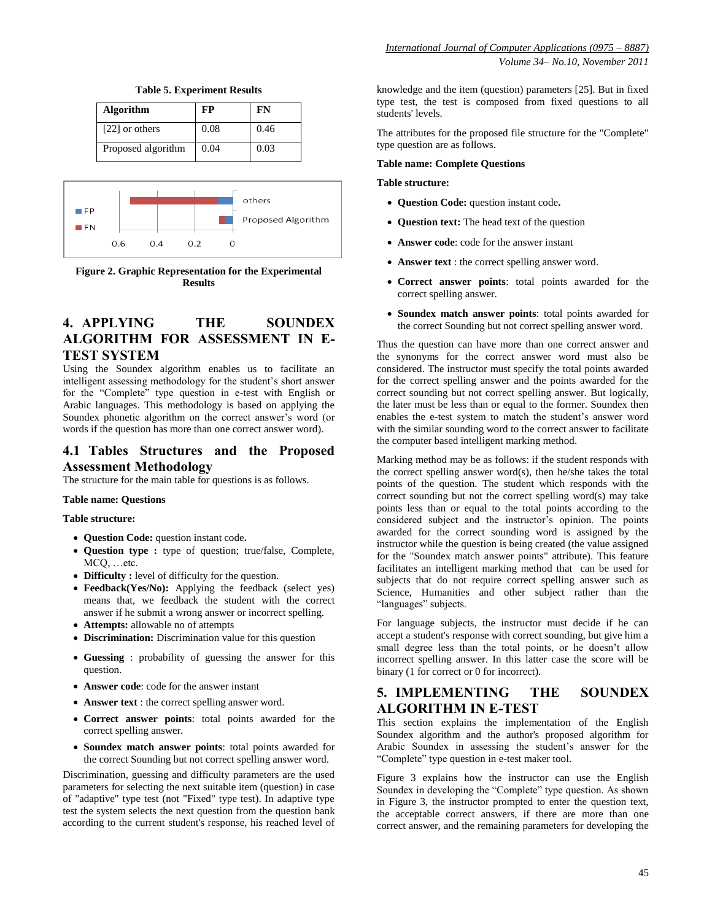

**Table 5. Experiment Results**



**Figure 2. Graphic Representation for the Experimental Results**

# **4. APPLYING THE SOUNDEX ALGORITHM FOR ASSESSMENT IN E-TEST SYSTEM**

Using the Soundex algorithm enables us to facilitate an intelligent assessing methodology for the student's short answer for the "Complete" type question in e-test with English or Arabic languages. This methodology is based on applying the Soundex phonetic algorithm on the correct answer's word (or words if the question has more than one correct answer word).

# **4.1 Tables Structures and the Proposed Assessment Methodology**

The structure for the main table for questions is as follows.

#### **Table name: Questions**

#### **Table structure:**

- **Question Code:** question instant code**.**
- **Question type :** type of question; true/false, Complete, MCQ, …etc.
- **Difficulty :** level of difficulty for the question.
- **Feedback(Yes/No):** Applying the feedback (select yes) means that, we feedback the student with the correct answer if he submit a wrong answer or incorrect spelling.
- **Attempts:** allowable no of attempts
- **Discrimination:** Discrimination value for this question
- **Guessing** : probability of guessing the answer for this question.
- **Answer code**: code for the answer instant
- **Answer text** : the correct spelling answer word.
- **Correct answer points**: total points awarded for the correct spelling answer.
- **Soundex match answer points**: total points awarded for the correct Sounding but not correct spelling answer word.

Discrimination, guessing and difficulty parameters are the used parameters for selecting the next suitable item (question) in case of "adaptive" type test (not "Fixed" type test). In adaptive type test the system selects the next question from the question bank according to the current student's response, his reached level of knowledge and the item (question) parameters [25]. But in fixed type test, the test is composed from fixed questions to all students' levels.

The attributes for the proposed file structure for the "Complete" type question are as follows.

#### **Table name: Complete Questions**

**Table structure:**

- **Question Code:** question instant code**.**
- **Question text:** The head text of the question
- **Answer code**: code for the answer instant
- **Answer text** : the correct spelling answer word.
- **Correct answer points**: total points awarded for the correct spelling answer.
- **Soundex match answer points**: total points awarded for the correct Sounding but not correct spelling answer word.

Thus the question can have more than one correct answer and the synonyms for the correct answer word must also be considered. The instructor must specify the total points awarded for the correct spelling answer and the points awarded for the correct sounding but not correct spelling answer. But logically, the later must be less than or equal to the former. Soundex then enables the e-test system to match the student's answer word with the similar sounding word to the correct answer to facilitate the computer based intelligent marking method.

Marking method may be as follows: if the student responds with the correct spelling answer word(s), then he/she takes the total points of the question. The student which responds with the correct sounding but not the correct spelling word(s) may take points less than or equal to the total points according to the considered subject and the instructor's opinion. The points awarded for the correct sounding word is assigned by the instructor while the question is being created (the value assigned for the "Soundex match answer points" attribute). This feature facilitates an intelligent marking method that can be used for subjects that do not require correct spelling answer such as Science, Humanities and other subject rather than the "languages" subjects.

For language subjects, the instructor must decide if he can accept a student's response with correct sounding, but give him a small degree less than the total points, or he doesn't allow incorrect spelling answer. In this latter case the score will be binary (1 for correct or 0 for incorrect).

# **5. IMPLEMENTING THE SOUNDEX ALGORITHM IN E-TEST**

This section explains the implementation of the English Soundex algorithm and the author's proposed algorithm for Arabic Soundex in assessing the student's answer for the "Complete" type question in e-test maker tool.

Figure 3 explains how the instructor can use the English Soundex in developing the "Complete" type question. As shown in Figure 3, the instructor prompted to enter the question text, the acceptable correct answers, if there are more than one correct answer, and the remaining parameters for developing the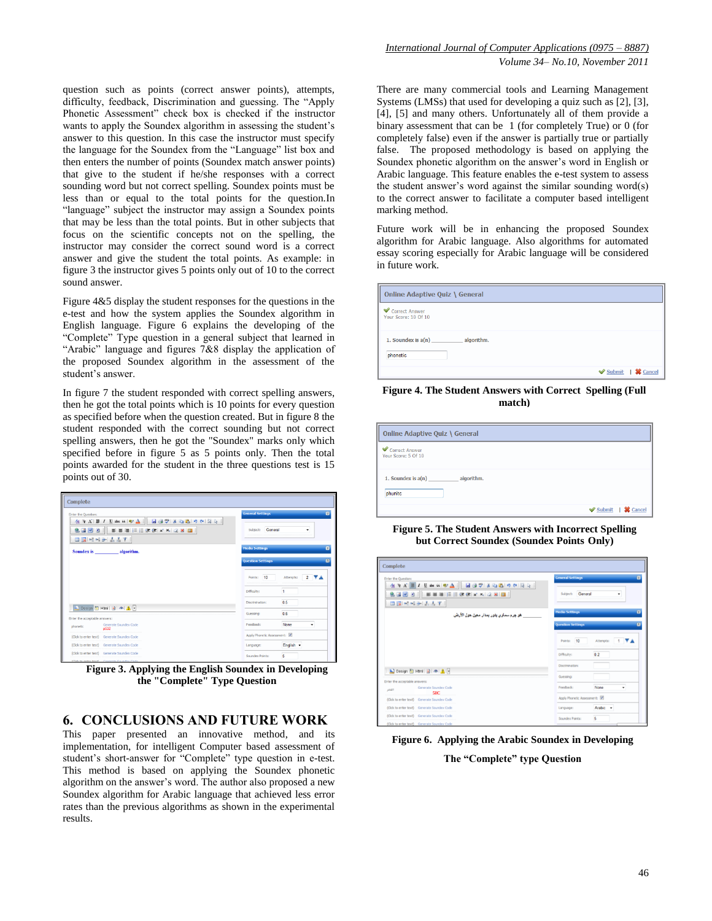question such as points (correct answer points), attempts, difficulty, feedback, Discrimination and guessing. The "Apply Phonetic Assessment" check box is checked if the instructor wants to apply the Soundex algorithm in assessing the student's answer to this question. In this case the instructor must specify the language for the Soundex from the "Language" list box and then enters the number of points (Soundex match answer points) that give to the student if he/she responses with a correct sounding word but not correct spelling. Soundex points must be less than or equal to the total points for the question.In "language" subject the instructor may assign a Soundex points that may be less than the total points. But in other subjects that focus on the scientific concepts not on the spelling, the instructor may consider the correct sound word is a correct answer and give the student the total points. As example: in figure 3 the instructor gives 5 points only out of 10 to the correct sound answer.

Figure 4&5 display the student responses for the questions in the e-test and how the system applies the Soundex algorithm in English language. Figure 6 explains the developing of the "Complete" Type question in a general subject that learned in "Arabic" language and figures 7&8 display the application of the proposed Soundex algorithm in the assessment of the student's answer.

In figure 7 the student responded with correct spelling answers, then he got the total points which is 10 points for every question as specified before when the question created. But in figure 8 the student responded with the correct sounding but not correct spelling answers, then he got the "Soundex" marks only which specified before in figure 5 as 5 points only. Then the total points awarded for the student in the three questions test is 15 points out of 30.

| Complete                                                       |                                              |
|----------------------------------------------------------------|----------------------------------------------|
| Enter the Question:                                            | $\mathbf{E}$<br><b>General Settings</b>      |
| 生みず BI リーキャンプ 国会会ののように<br>9. 國國 2     事事事   日注建建 x' x, 2 ×   國 | Subject: General<br>$\overline{\phantom{0}}$ |
| Soundex is algorithm.                                          | 図<br><b>Media Settings</b>                   |
|                                                                | <b>Question Settings</b>                     |
|                                                                | Points: 10<br>Attempts: 2 7 A                |
|                                                                | H.<br>Difficulty:                            |
| Design 2 Html 3 4 A                                            | 0.5<br>Discrimination:                       |
| Enter the acceptable answers:                                  | 0 <sub>6</sub><br>Guessing:                  |
| Generate Soundex Code<br>phonetic<br>p532                      | <b>Feedback:</b><br>None<br>٠                |
| (Click to enter text) Generate Soundex Code                    | Apply Phonetic Assessment: V                 |
| (Click to enter text) Generate Soundex Code                    | English -<br>Language:                       |
| (Click to enter text) Generate Soundex Code                    | 5<br>Soundex Points:                         |
| (Photo top continue torsat) - Communities Community Caroline   |                                              |

**Figure 3. Applying the English Soundex in Developing the "Complete" Type Question**

#### **6. CONCLUSIONS AND FUTURE WORK**

This paper presented an innovative method, and its implementation, for intelligent Computer based assessment of student's short-answer for "Complete" type question in e-test. This method is based on applying the Soundex phonetic algorithm on the answer's word. The author also proposed a new Soundex algorithm for Arabic language that achieved less error rates than the previous algorithms as shown in the experimental results.

There are many commercial tools and Learning Management Systems (LMSs) that used for developing a quiz such as [2], [3], [4], [5] and many others. Unfortunately all of them provide a binary assessment that can be 1 (for completely True) or 0 (for completely false) even if the answer is partially true or partially false. The proposed methodology is based on applying the Soundex phonetic algorithm on the answer's word in English or Arabic language. This feature enables the e-test system to assess the student answer's word against the similar sounding word(s) to the correct answer to facilitate a computer based intelligent marking method.

Future work will be in enhancing the proposed Soundex algorithm for Arabic language. Also algorithms for automated essay scoring especially for Arabic language will be considered in future work.

| <b>Online Adaptive Quiz \ General</b>          |                                 |
|------------------------------------------------|---------------------------------|
| Correct Answer<br>Your Score: 10 Of 10         |                                 |
| 1. Soundex is $a(n)$<br>algorithm.<br>phonetic |                                 |
|                                                | <b>Submit</b>   <b>※</b> Cancel |

**Figure 4. The Student Answers with Correct Spelling (Full match)**

| <b>Online Adaptive Quiz \ General</b>         |                   |
|-----------------------------------------------|-------------------|
| Correct Answer<br>Your Score: 5 Of 10         |                   |
| algorithm.<br>1. Soundex is $a(n)$<br>phunitc |                   |
|                                               | Submit   X Cancel |

**Figure 5. The Student Answers with Incorrect Spelling but Correct Soundex (Soundex Points Only)**

| Enter the Question:           |                                             |                                                                                                                                                                                                                                                                        | <b>General Settings</b>      |           |
|-------------------------------|---------------------------------------------|------------------------------------------------------------------------------------------------------------------------------------------------------------------------------------------------------------------------------------------------------------------------|------------------------------|-----------|
|                               | □図→ → → → 本 → 平                             | $A \uparrow A \upharpoonright B \upharpoonright I \downharpoonright \text{the } G \upharpoonright \text{W} \triangle \qbracket \quad A \upharpoonright G \upharpoonright \text{W} \triangle \parallel G \upharpoonright \text{W} \parallel G \upharpoonright \text{W}$ | Subject: General             | ٠         |
|                               |                                             | ِ هو چرم سماوي ڀٽور. ڀمدار. معين هول الأرض                                                                                                                                                                                                                             | <b>Media Settings</b>        |           |
|                               |                                             |                                                                                                                                                                                                                                                                        | <b>Question Settings</b>     |           |
|                               |                                             |                                                                                                                                                                                                                                                                        | Points: 10                   | Attempts: |
|                               |                                             |                                                                                                                                                                                                                                                                        | Difficulty:                  | 0.2       |
|                               | Design & Html   a   a   A   1               |                                                                                                                                                                                                                                                                        | Discrimination:              |           |
| Enter the acceptable answers: |                                             |                                                                                                                                                                                                                                                                        | Guessing:                    |           |
| <b>JAAR</b>                   | Generate Soundex Code<br>\$1C               |                                                                                                                                                                                                                                                                        | Feedback:                    | None<br>٠ |
|                               | (Click to enter text) Generate Soundex Code |                                                                                                                                                                                                                                                                        | Apply Phonetic Assessment: V |           |
|                               | (Click to enter text) Generate Soundex Code |                                                                                                                                                                                                                                                                        | Language:                    | Arabic +  |
|                               | (Click to enter text) Generate Soundex Code |                                                                                                                                                                                                                                                                        | Soundex Points:              | 5         |
|                               | (Click to enter text) Generate Soundex Code |                                                                                                                                                                                                                                                                        |                              |           |

**Figure 6. Applying the Arabic Soundex in Developing The "Complete" type Question**